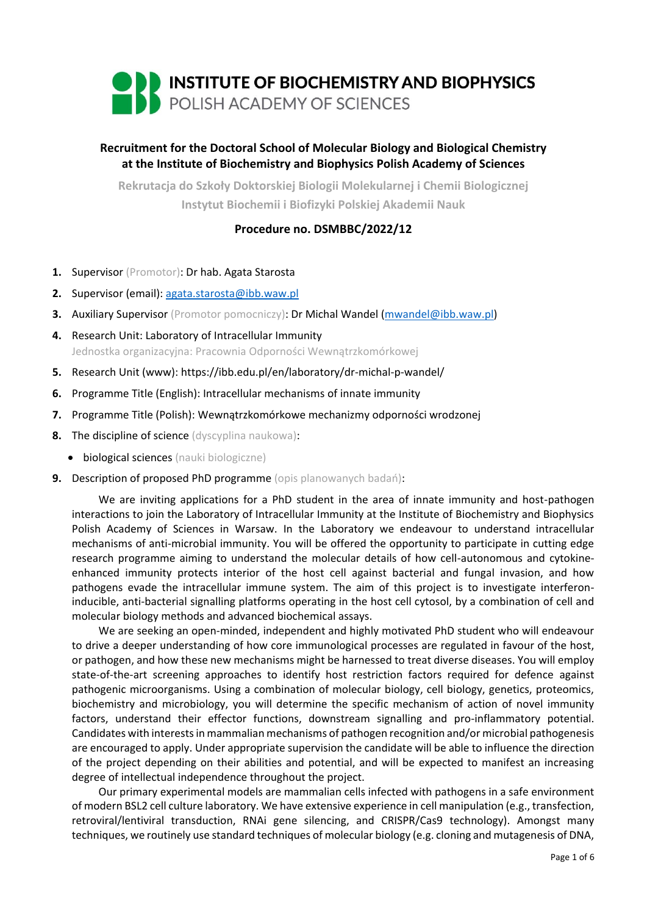

# **Recruitment for the Doctoral School of Molecular Biology and Biological Chemistry at the Institute of Biochemistry and Biophysics Polish Academy of Sciences**

**Rekrutacja do Szkoły Doktorskiej Biologii Molekularnej i Chemii Biologicznej Instytut Biochemii i Biofizyki Polskiej Akademii Nauk**

## **Procedure no. DSMBBC/2022/12**

- **1.** Supervisor (Promotor): Dr hab. Agata Starosta
- **2.** Supervisor (email): [agata.starosta@ibb.waw.pl](mailto:agata.starosta@ibb.waw.pl)
- **3.** Auxiliary Supervisor (Promotor pomocniczy): Dr Michal Wandel [\(mwandel@ibb.waw.pl\)](mailto:mwandel@ibb.waw.pl)
- **4.** Research Unit: Laboratory of Intracellular Immunity Jednostka organizacyjna: Pracownia Odporności Wewnątrzkomórkowej
- **5.** Research Unit (www): https://ibb.edu.pl/en/laboratory/dr-michal-p-wandel/
- **6.** Programme Title (English): Intracellular mechanisms of innate immunity
- **7.** Programme Title (Polish): Wewnątrzkomórkowe mechanizmy odporności wrodzonej
- **8.** The discipline of science (dyscyplina naukowa):
	- biological sciences (nauki biologiczne)
- **9.** Description of proposed PhD programme (opis planowanych badań):

We are inviting applications for a PhD student in the area of innate immunity and host-pathogen interactions to join the Laboratory of Intracellular Immunity at the Institute of Biochemistry and Biophysics Polish Academy of Sciences in Warsaw. In the Laboratory we endeavour to understand intracellular mechanisms of anti-microbial immunity. You will be offered the opportunity to participate in cutting edge research programme aiming to understand the molecular details of how cell-autonomous and cytokineenhanced immunity protects interior of the host cell against bacterial and fungal invasion, and how pathogens evade the intracellular immune system. The aim of this project is to investigate interferoninducible, anti-bacterial signalling platforms operating in the host cell cytosol, by a combination of cell and molecular biology methods and advanced biochemical assays.

We are seeking an open-minded, independent and highly motivated PhD student who will endeavour to drive a deeper understanding of how core immunological processes are regulated in favour of the host, or pathogen, and how these new mechanisms might be harnessed to treat diverse diseases. You will employ state-of-the-art screening approaches to identify host restriction factors required for defence against pathogenic microorganisms. Using a combination of molecular biology, cell biology, genetics, proteomics, biochemistry and microbiology, you will determine the specific mechanism of action of novel immunity factors, understand their effector functions, downstream signalling and pro-inflammatory potential. Candidates with interests in mammalian mechanisms of pathogen recognition and/or microbial pathogenesis are encouraged to apply. Under appropriate supervision the candidate will be able to influence the direction of the project depending on their abilities and potential, and will be expected to manifest an increasing degree of intellectual independence throughout the project.

Our primary experimental models are mammalian cells infected with pathogens in a safe environment of modern BSL2 cell culture laboratory. We have extensive experience in cell manipulation (e.g., transfection, retroviral/lentiviral transduction, RNAi gene silencing, and CRISPR/Cas9 technology). Amongst many techniques, we routinely use standard techniques of molecular biology (e.g. cloning and mutagenesis of DNA,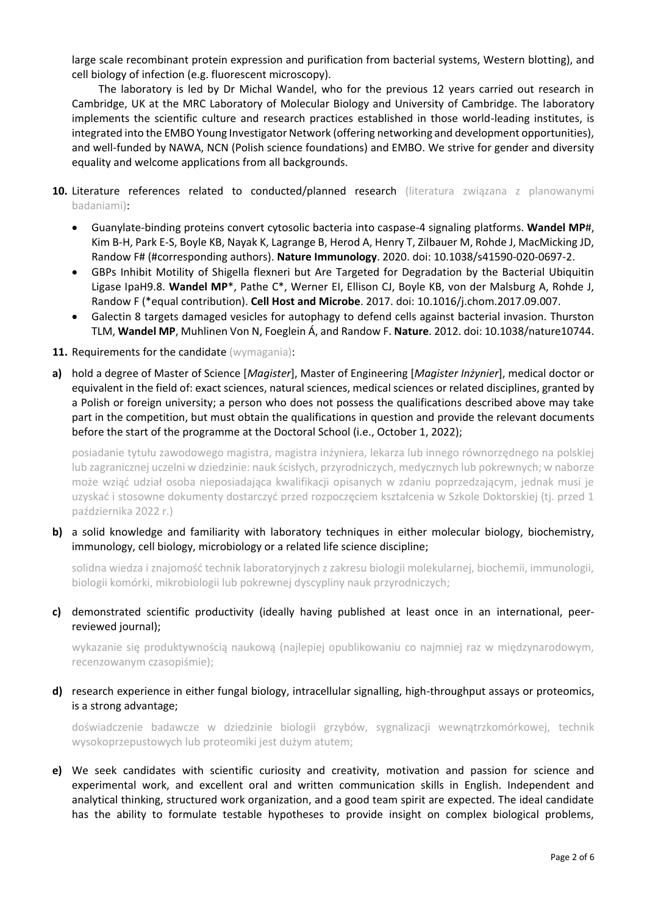large scale recombinant protein expression and purification from bacterial systems, Western blotting), and cell biology of infection (e.g. fluorescent microscopy).

The laboratory is led by Dr Michal Wandel, who for the previous 12 years carried out research in Cambridge, UK at the MRC Laboratory of Molecular Biology and University of Cambridge. The laboratory implements the scientific culture and research practices established in those world-leading institutes, is integrated into the EMBO Young Investigator Network (offering networking and development opportunities), and well-funded by NAWA, NCN (Polish science foundations) and EMBO. We strive for gender and diversity equality and welcome applications from all backgrounds.

- **10.** Literature references related to conducted/planned research (literatura związana z planowanymi badaniami):
	- Guanylate-binding proteins convert cytosolic bacteria into caspase-4 signaling platforms. **Wandel MP**#, Kim B-H, Park E-S, Boyle KB, Nayak K, Lagrange B, Herod A, Henry T, Zilbauer M, Rohde J, MacMicking JD, Randow F# (#corresponding authors). **Nature Immunology**. 2020. doi: 10.1038/s41590-020-0697-2.
	- GBPs Inhibit Motility of Shigella flexneri but Are Targeted for Degradation by the Bacterial Ubiquitin Ligase IpaH9.8. **Wandel MP**\*, Pathe C\*, Werner EI, Ellison CJ, Boyle KB, von der Malsburg A, Rohde J, Randow F (\*equal contribution). **Cell Host and Microbe**. 2017. doi: 10.1016/j.chom.2017.09.007.
	- Galectin 8 targets damaged vesicles for autophagy to defend cells against bacterial invasion. Thurston TLM, **Wandel MP**, Muhlinen Von N, Foeglein Á, and Randow F. **Nature**. 2012. doi: 10.1038/nature10744.
- 11. Requirements for the candidate (wymagania):
- **a)** hold a degree of Master of Science [*Magister*], Master of Engineering [*Magister Inżynier*], medical doctor or equivalent in the field of: exact sciences, natural sciences, medical sciences or related disciplines, granted by a Polish or foreign university; a person who does not possess the qualifications described above may take part in the competition, but must obtain the qualifications in question and provide the relevant documents before the start of the programme at the Doctoral School (i.e., October 1, 2022);

posiadanie tytułu zawodowego magistra, magistra inżyniera, lekarza lub innego równorzędnego na polskiej lub zagranicznej uczelni w dziedzinie: nauk ścisłych, przyrodniczych, medycznych lub pokrewnych; w naborze może wziąć udział osoba nieposiadająca kwalifikacji opisanych w zdaniu poprzedzającym, jednak musi je uzyskać i stosowne dokumenty dostarczyć przed rozpoczęciem kształcenia w Szkole Doktorskiej (tj. przed 1 października 2022 r.)

**b)** a solid knowledge and familiarity with laboratory techniques in either molecular biology, biochemistry, immunology, cell biology, microbiology or a related life science discipline;

solidna wiedza i znajomość technik laboratoryjnych z zakresu biologii molekularnej, biochemii, immunologii, biologii komórki, mikrobiologii lub pokrewnej dyscypliny nauk przyrodniczych;

**c)** demonstrated scientific productivity (ideally having published at least once in an international, peerreviewed journal);

wykazanie się produktywnością naukową (najlepiej opublikowaniu co najmniej raz w międzynarodowym, recenzowanym czasopiśmie);

**d)** research experience in either fungal biology, intracellular signalling, high-throughput assays or proteomics, is a strong advantage;

doświadczenie badawcze w dziedzinie biologii grzybów, sygnalizacji wewnątrzkomórkowej, technik wysokoprzepustowych lub proteomiki jest dużym atutem;

**e)** We seek candidates with scientific curiosity and creativity, motivation and passion for science and experimental work, and excellent oral and written communication skills in English. Independent and analytical thinking, structured work organization, and a good team spirit are expected. The ideal candidate has the ability to formulate testable hypotheses to provide insight on complex biological problems,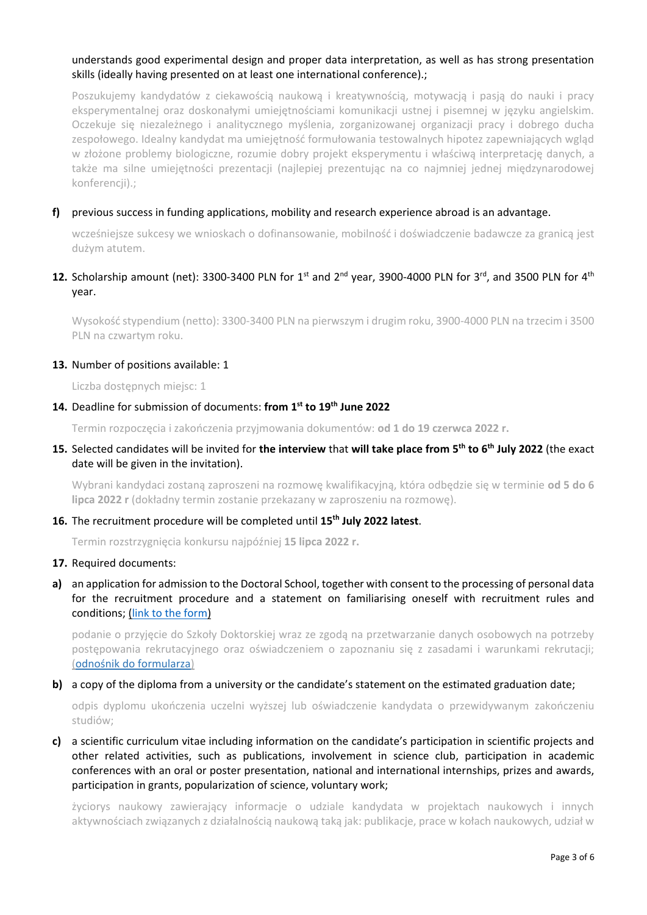## understands good experimental design and proper data interpretation, as well as has strong presentation skills (ideally having presented on at least one international conference).;

Poszukujemy kandydatów z ciekawością naukową i kreatywnością, motywacją i pasją do nauki i pracy eksperymentalnej oraz doskonałymi umiejętnościami komunikacji ustnej i pisemnej w języku angielskim. Oczekuje się niezależnego i analitycznego myślenia, zorganizowanej organizacji pracy i dobrego ducha zespołowego. Idealny kandydat ma umiejętność formułowania testowalnych hipotez zapewniających wgląd w złożone problemy biologiczne, rozumie dobry projekt eksperymentu i właściwą interpretację danych, a także ma silne umiejętności prezentacji (najlepiej prezentując na co najmniej jednej międzynarodowej konferencji).;

### **f)** previous success in funding applications, mobility and research experience abroad is an advantage.

wcześniejsze sukcesy we wnioskach o dofinansowanie, mobilność i doświadczenie badawcze za granicą jest dużym atutem.

## 12. Scholarship amount (net): 3300-3400 PLN for 1<sup>st</sup> and 2<sup>nd</sup> year, 3900-4000 PLN for 3<sup>rd</sup>, and 3500 PLN for 4<sup>th</sup> year.

Wysokość stypendium (netto): 3300-3400 PLN na pierwszym i drugim roku, 3900-4000 PLN na trzecim i 3500 PLN na czwartym roku.

#### **13.** Number of positions available: 1

Liczba dostępnych miejsc: 1

### **14.** Deadline for submission of documents: **from 1 st to 19th June 2022**

Termin rozpoczęcia i zakończenia przyjmowania dokumentów: **od 1 do 19 czerwca 2022 r.**

**15.** Selected candidates will be invited for **the interview** that **will take place from 5 th to 6 th July 2022** (the exact date will be given in the invitation).

Wybrani kandydaci zostaną zaproszeni na rozmowę kwalifikacyjną, która odbędzie się w terminie **od 5 do 6 lipca 2022 r** (dokładny termin zostanie przekazany w zaproszeniu na rozmowę).

### **16.** The recruitment procedure will be completed until **15th July 2022 latest**.

Termin rozstrzygnięcia konkursu najpóźniej **15 lipca 2022 r.**

#### **17.** Required documents:

**a)** an application for admission to the Doctoral School, together with consent to the processing of personal data for the recruitment procedure and a statement on familiarising oneself with recruitment rules and conditions; [\(link to the form\)](https://ibb.edu.pl/app/uploads/2022/05/application-form_doctoralschool_ibb-pas.docx)

podanie o przyjęcie do Szkoły Doktorskiej wraz ze zgodą na przetwarzanie danych osobowych na potrzeby postępowania rekrutacyjnego oraz oświadczeniem o zapoznaniu się z zasadami i warunkami rekrutacji; ([odnośnik do formularza](https://ibb.edu.pl/app/uploads/2022/05/application-form_doctoralschool_ibb-pas.docx))

#### **b)** a copy of the diploma from a university or the candidate's statement on the estimated graduation date;

odpis dyplomu ukończenia uczelni wyższej lub oświadczenie kandydata o przewidywanym zakończeniu studiów;

**c)** a scientific curriculum vitae including information on the candidate's participation in scientific projects and other related activities, such as publications, involvement in science club, participation in academic conferences with an oral or poster presentation, national and international internships, prizes and awards, participation in grants, popularization of science, voluntary work;

życiorys naukowy zawierający informacje o udziale kandydata w projektach naukowych i innych aktywnościach związanych z działalnością naukową taką jak: publikacje, prace w kołach naukowych, udział w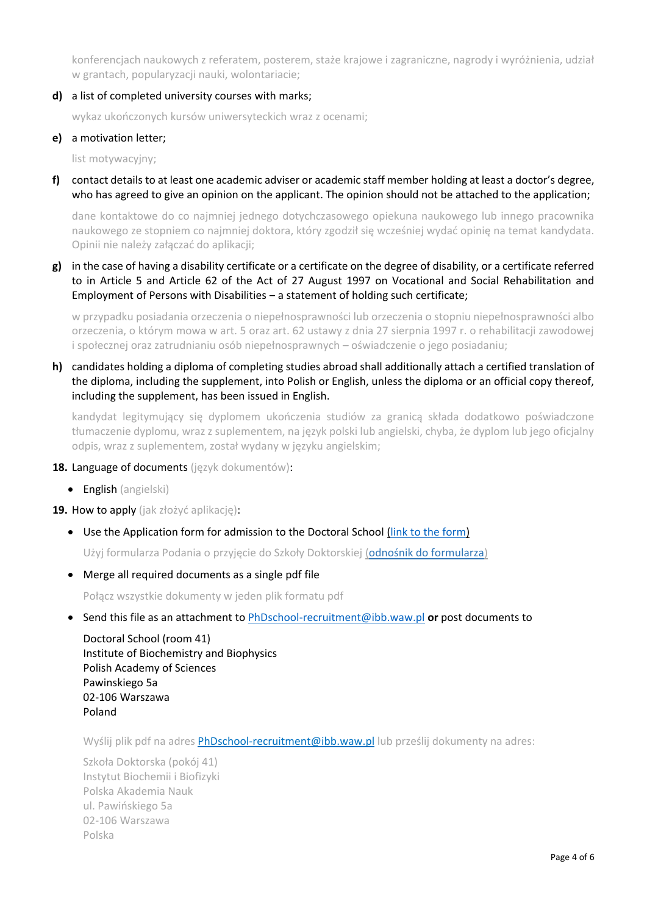konferencjach naukowych z referatem, posterem, staże krajowe i zagraniczne, nagrody i wyróżnienia, udział w grantach, popularyzacji nauki, wolontariacie;

**d)** a list of completed university courses with marks;

wykaz ukończonych kursów uniwersyteckich wraz z ocenami;

### **e)** a motivation letter;

list motywacyjny;

**f)** contact details to at least one academic adviser or academic staff member holding at least a doctor's degree, who has agreed to give an opinion on the applicant. The opinion should not be attached to the application;

dane kontaktowe do co najmniej jednego dotychczasowego opiekuna naukowego lub innego pracownika naukowego ze stopniem co najmniej doktora, który zgodził się wcześniej wydać opinię na temat kandydata. Opinii nie należy załączać do aplikacji;

**g)** in the case of having a disability certificate or a certificate on the degree of disability, or a certificate referred to in Article 5 and Article 62 of the Act of 27 August 1997 on Vocational and Social Rehabilitation and Employment of Persons with Disabilities – a statement of holding such certificate;

w przypadku posiadania orzeczenia o niepełnosprawności lub orzeczenia o stopniu niepełnosprawności albo orzeczenia, o którym mowa w art. 5 oraz art. 62 ustawy z dnia 27 sierpnia 1997 r. o rehabilitacji zawodowej i społecznej oraz zatrudnianiu osób niepełnosprawnych – oświadczenie o jego posiadaniu;

**h)** candidates holding a diploma of completing studies abroad shall additionally attach a certified translation of the diploma, including the supplement, into Polish or English, unless the diploma or an official copy thereof, including the supplement, has been issued in English.

kandydat legitymujący się dyplomem ukończenia studiów za granicą składa dodatkowo poświadczone tłumaczenie dyplomu, wraz z suplementem, na język polski lub angielski, chyba, że dyplom lub jego oficjalny odpis, wraz z suplementem, został wydany w języku angielskim;

- **18.** Language of documents (język dokumentów):
	- English (angielski)

**19.** How to apply (jak złożyć aplikację):

• Use the Application form for admission to the Doctoral School [\(link to the form\)](https://ibb.edu.pl/app/uploads/2022/05/application-form_doctoralschool_ibb-pas.docx)

Użyj formularza Podania o przyjęcie do Szkoły Doktorskiej ([odnośnik do formularza](https://ibb.edu.pl/app/uploads/2022/05/application-form_doctoralschool_ibb-pas.docx))

• Merge all required documents as a single pdf file

Połącz wszystkie dokumenty w jeden plik formatu pdf

• Send this file as an attachment to [PhDschool-recruitment@ibb.waw.pl](mailto:PhDschool-recruitment@ibb.waw.pl) **or** post documents to

Doctoral School (room 41) Institute of Biochemistry and Biophysics Polish Academy of Sciences Pawinskiego 5a 02-106 Warszawa Poland

Wyślij plik pdf na adres [PhDschool-recruitment@ibb.waw.pl](mailto:PhDschool-recruitment@ibb.waw.pl) lub prześlij dokumenty na adres:

Szkoła Doktorska (pokój 41) Instytut Biochemii i Biofizyki Polska Akademia Nauk ul. Pawińskiego 5a 02-106 Warszawa Polska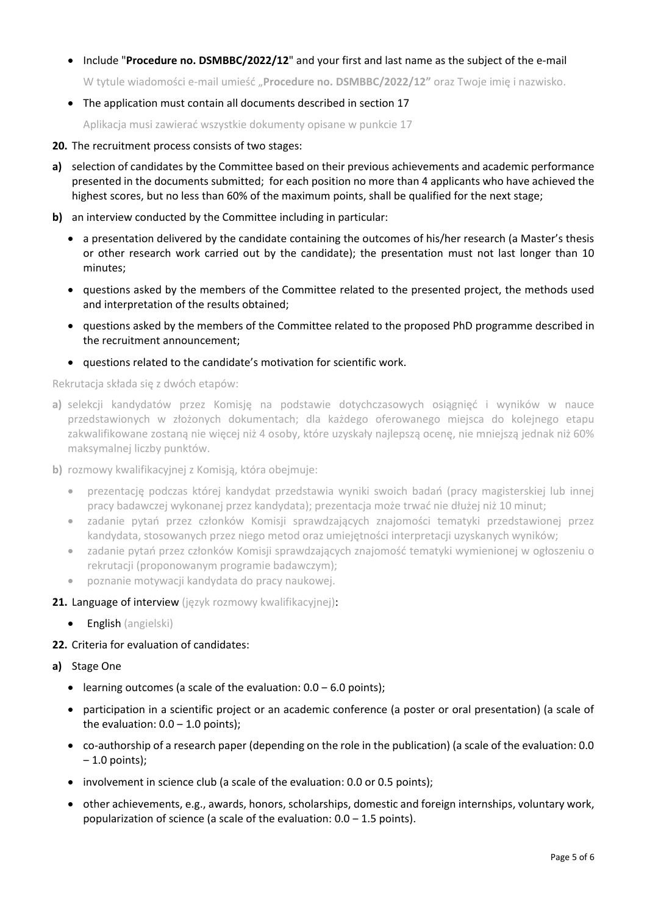• Include "**Procedure no. DSMBBC/2022/12**" and your first and last name as the subject of the e-mail

W tytule wiadomości e-mail umieść "**Procedure no. DSMBBC/2022/12"** oraz Twoje imię i nazwisko.

• The application must contain all documents described in section 17

Aplikacja musi zawierać wszystkie dokumenty opisane w punkcie 17

- **20.** The recruitment process consists of two stages:
- **a)** selection of candidates by the Committee based on their previous achievements and academic performance presented in the documents submitted; for each position no more than 4 applicants who have achieved the highest scores, but no less than 60% of the maximum points, shall be qualified for the next stage;
- **b)** an interview conducted by the Committee including in particular:
	- a presentation delivered by the candidate containing the outcomes of his/her research (a Master's thesis or other research work carried out by the candidate); the presentation must not last longer than 10 minutes;
	- questions asked by the members of the Committee related to the presented project, the methods used and interpretation of the results obtained;
	- questions asked by the members of the Committee related to the proposed PhD programme described in the recruitment announcement;
	- questions related to the candidate's motivation for scientific work.

Rekrutacja składa się z dwóch etapów:

- **a)** selekcji kandydatów przez Komisję na podstawie dotychczasowych osiągnięć i wyników w nauce przedstawionych w złożonych dokumentach; dla każdego oferowanego miejsca do kolejnego etapu zakwalifikowane zostaną nie więcej niż 4 osoby, które uzyskały najlepszą ocenę, nie mniejszą jednak niż 60% maksymalnej liczby punktów.
- **b)** rozmowy kwalifikacyjnej z Komisją, która obejmuje:
	- prezentację podczas której kandydat przedstawia wyniki swoich badań (pracy magisterskiej lub innej pracy badawczej wykonanej przez kandydata); prezentacja może trwać nie dłużej niż 10 minut;
	- zadanie pytań przez członków Komisji sprawdzających znajomości tematyki przedstawionej przez kandydata, stosowanych przez niego metod oraz umiejętności interpretacji uzyskanych wyników;
	- zadanie pytań przez członków Komisji sprawdzających znajomość tematyki wymienionej w ogłoszeniu o rekrutacji (proponowanym programie badawczym);
	- poznanie motywacji kandydata do pracy naukowej.
- **21.** Language of interview (język rozmowy kwalifikacyjnej):
	- English (angielski)

## **22.** Criteria for evaluation of candidates:

- **a)** Stage One
	- learning outcomes (a scale of the evaluation:  $0.0 6.0$  points);
	- participation in a scientific project or an academic conference (a poster or oral presentation) (a scale of the evaluation:  $0.0 - 1.0$  points);
	- co-authorship of a research paper (depending on the role in the publication) (a scale of the evaluation: 0.0  $-1.0$  points);
	- involvement in science club (a scale of the evaluation: 0.0 or 0.5 points);
	- other achievements, e.g., awards, honors, scholarships, domestic and foreign internships, voluntary work, popularization of science (a scale of the evaluation:  $0.0 - 1.5$  points).